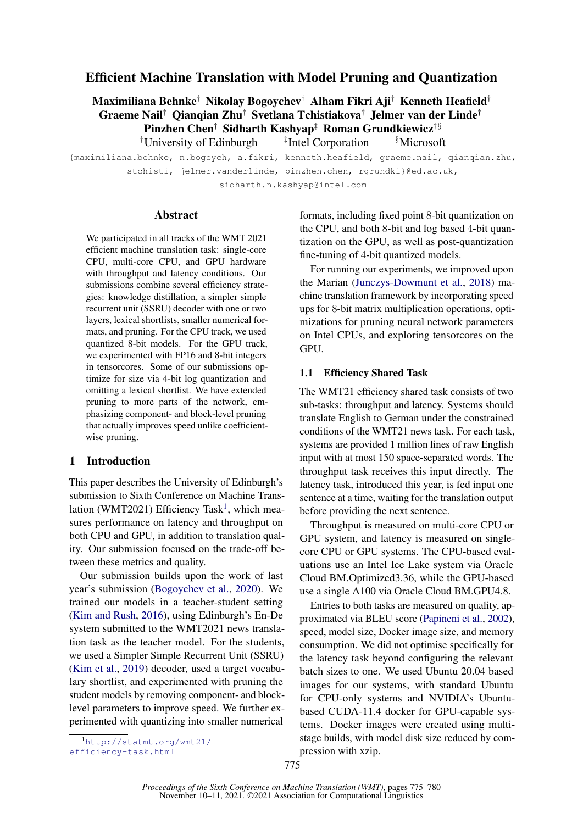# Efficient Machine Translation with Model Pruning and Quantization

Maximiliana Behnke† Nikolay Bogoychev† Alham Fikri Aji† Kenneth Heafield† Graeme Nail† Qianqian Zhu† Svetlana Tchistiakova† Jelmer van der Linde† Pinzhen Chen† Sidharth Kashyap‡ Roman Grundkiewicz<sup>†§</sup> <sup>†</sup>University of Edinburgh <sup>‡</sup>Intel Corporation <sup>§</sup>Microsoft

{maximiliana.behnke, n.bogoych, a.fikri, kenneth.heafield, graeme.nail, qianqian.zhu, stchisti, jelmer.vanderlinde, pinzhen.chen, rgrundki}@ed.ac.uk, sidharth.n.kashyap@intel.com

#### Abstract

We participated in all tracks of the WMT 2021 efficient machine translation task: single-core CPU, multi-core CPU, and GPU hardware with throughput and latency conditions. Our submissions combine several efficiency strategies: knowledge distillation, a simpler simple recurrent unit (SSRU) decoder with one or two layers, lexical shortlists, smaller numerical formats, and pruning. For the CPU track, we used quantized 8-bit models. For the GPU track, we experimented with FP16 and 8-bit integers in tensorcores. Some of our submissions optimize for size via 4-bit log quantization and omitting a lexical shortlist. We have extended pruning to more parts of the network, emphasizing component- and block-level pruning that actually improves speed unlike coefficientwise pruning.

## 1 Introduction

This paper describes the University of Edinburgh's submission to Sixth Conference on Machine Trans-lation (WMT202[1](#page-0-0)) Efficiency Task<sup>1</sup>, which measures performance on latency and throughput on both CPU and GPU, in addition to translation quality. Our submission focused on the trade-off between these metrics and quality.

Our submission builds upon the work of last year's submission [\(Bogoychev et al.,](#page-5-0) [2020\)](#page-5-0). We trained our models in a teacher-student setting [\(Kim and Rush,](#page-5-1) [2016\)](#page-5-1), using Edinburgh's En-De system submitted to the WMT2021 news translation task as the teacher model. For the students, we used a Simpler Simple Recurrent Unit (SSRU) [\(Kim et al.,](#page-5-2) [2019\)](#page-5-2) decoder, used a target vocabulary shortlist, and experimented with pruning the student models by removing component- and blocklevel parameters to improve speed. We further experimented with quantizing into smaller numerical

formats, including fixed point 8-bit quantization on the CPU, and both 8-bit and log based 4-bit quantization on the GPU, as well as post-quantization fine-tuning of 4-bit quantized models.

For running our experiments, we improved upon the Marian [\(Junczys-Dowmunt et al.,](#page-5-3) [2018\)](#page-5-3) machine translation framework by incorporating speed ups for 8-bit matrix multiplication operations, optimizations for pruning neural network parameters on Intel CPUs, and exploring tensorcores on the GPU.

## 1.1 Efficiency Shared Task

The WMT21 efficiency shared task consists of two sub-tasks: throughput and latency. Systems should translate English to German under the constrained conditions of the WMT21 news task. For each task, systems are provided 1 million lines of raw English input with at most 150 space-separated words. The throughput task receives this input directly. The latency task, introduced this year, is fed input one sentence at a time, waiting for the translation output before providing the next sentence.

Throughput is measured on multi-core CPU or GPU system, and latency is measured on singlecore CPU or GPU systems. The CPU-based evaluations use an Intel Ice Lake system via Oracle Cloud BM.Optimized3.36, while the GPU-based use a single A100 via Oracle Cloud BM.GPU4.8.

Entries to both tasks are measured on quality, approximated via BLEU score [\(Papineni et al.,](#page-5-4) [2002\)](#page-5-4), speed, model size, Docker image size, and memory consumption. We did not optimise specifically for the latency task beyond configuring the relevant batch sizes to one. We used Ubuntu 20.04 based images for our systems, with standard Ubuntu for CPU-only systems and NVIDIA's Ubuntubased CUDA-11.4 docker for GPU-capable systems. Docker images were created using multistage builds, with model disk size reduced by compression with xzip.

<span id="page-0-0"></span><sup>1</sup>[http://statmt.org/wmt21/](http://statmt.org/wmt21/efficiency-task.html) [efficiency-task.html](http://statmt.org/wmt21/efficiency-task.html)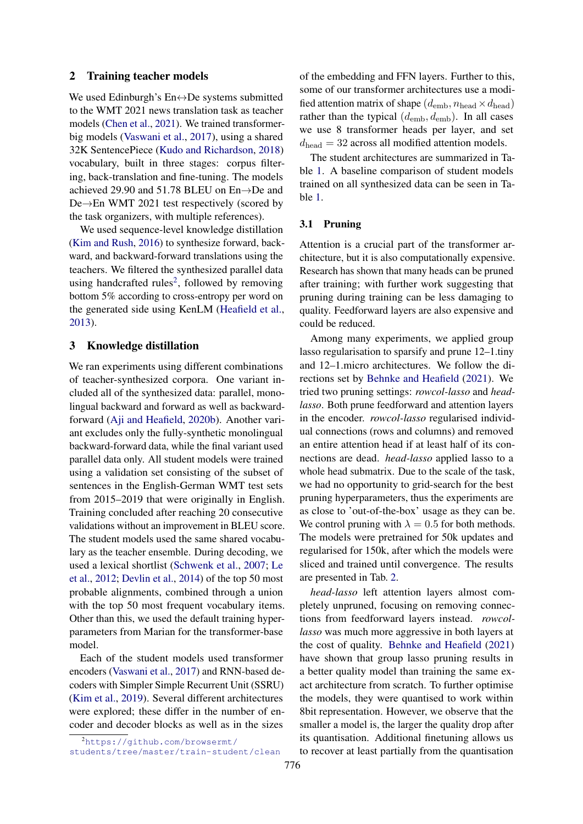## 2 Training teacher models

We used Edinburgh's En↔De systems submitted to the WMT 2021 news translation task as teacher models [\(Chen et al.,](#page-5-5) [2021\)](#page-5-5). We trained transformerbig models [\(Vaswani et al.,](#page-5-6) [2017\)](#page-5-6), using a shared 32K SentencePiece [\(Kudo and Richardson,](#page-5-7) [2018\)](#page-5-7) vocabulary, built in three stages: corpus filtering, back-translation and fine-tuning. The models achieved 29.90 and 51.78 BLEU on En→De and De→En WMT 2021 test respectively (scored by the task organizers, with multiple references).

We used sequence-level knowledge distillation [\(Kim and Rush,](#page-5-1) [2016\)](#page-5-1) to synthesize forward, backward, and backward-forward translations using the teachers. We filtered the synthesized parallel data using handcrafted rules<sup>[2](#page-1-0)</sup>, followed by removing bottom 5% according to cross-entropy per word on the generated side using KenLM [\(Heafield et al.,](#page-5-8) [2013\)](#page-5-8).

## 3 Knowledge distillation

We ran experiments using different combinations of teacher-synthesized corpora. One variant included all of the synthesized data: parallel, monolingual backward and forward as well as backwardforward [\(Aji and Heafield,](#page-4-0) [2020b\)](#page-4-0). Another variant excludes only the fully-synthetic monolingual backward-forward data, while the final variant used parallel data only. All student models were trained using a validation set consisting of the subset of sentences in the English-German WMT test sets from 2015–2019 that were originally in English. Training concluded after reaching 20 consecutive validations without an improvement in BLEU score. The student models used the same shared vocabulary as the teacher ensemble. During decoding, we used a lexical shortlist [\(Schwenk et al.,](#page-5-9) [2007;](#page-5-9) [Le](#page-5-10) [et al.,](#page-5-10) [2012;](#page-5-10) [Devlin et al.,](#page-5-11) [2014\)](#page-5-11) of the top 50 most probable alignments, combined through a union with the top 50 most frequent vocabulary items. Other than this, we used the default training hyperparameters from Marian for the transformer-base model.

Each of the student models used transformer encoders [\(Vaswani et al.,](#page-5-6) [2017\)](#page-5-6) and RNN-based decoders with Simpler Simple Recurrent Unit (SSRU) [\(Kim et al.,](#page-5-2) [2019\)](#page-5-2). Several different architectures were explored; these differ in the number of encoder and decoder blocks as well as in the sizes

<span id="page-1-0"></span><sup>2</sup>[https://github.com/browsermt/](https://github.com/browsermt/students/tree/master/train-student/clean) [students/tree/master/train-student/clean](https://github.com/browsermt/students/tree/master/train-student/clean) of the embedding and FFN layers. Further to this, some of our transformer architectures use a modified attention matrix of shape  $(d<sub>emb</sub>, n<sub>head</sub> \times d<sub>head</sub>)$ rather than the typical  $(d<sub>emb</sub>, d<sub>emb</sub>)$ . In all cases we use 8 transformer heads per layer, and set  $d_{head} = 32$  across all modified attention models.

The student architectures are summarized in Table [1.](#page-2-0) A baseline comparison of student models trained on all synthesized data can be seen in Table [1.](#page-2-0)

#### 3.1 Pruning

Attention is a crucial part of the transformer architecture, but it is also computationally expensive. Research has shown that many heads can be pruned after training; with further work suggesting that pruning during training can be less damaging to quality. Feedforward layers are also expensive and could be reduced.

Among many experiments, we applied group lasso regularisation to sparsify and prune 12–1.tiny and 12–1.micro architectures. We follow the directions set by [Behnke and Heafield](#page-4-1) [\(2021\)](#page-4-1). We tried two pruning settings: *rowcol-lasso* and *headlasso*. Both prune feedforward and attention layers in the encoder. *rowcol-lasso* regularised individual connections (rows and columns) and removed an entire attention head if at least half of its connections are dead. *head-lasso* applied lasso to a whole head submatrix. Due to the scale of the task, we had no opportunity to grid-search for the best pruning hyperparameters, thus the experiments are as close to 'out-of-the-box' usage as they can be. We control pruning with  $\lambda = 0.5$  for both methods. The models were pretrained for 50k updates and regularised for 150k, after which the models were sliced and trained until convergence. The results are presented in Tab. [2.](#page-3-0)

*head-lasso* left attention layers almost completely unpruned, focusing on removing connections from feedforward layers instead. *rowcollasso* was much more aggressive in both layers at the cost of quality. [Behnke and Heafield](#page-4-1) [\(2021\)](#page-4-1) have shown that group lasso pruning results in a better quality model than training the same exact architecture from scratch. To further optimise the models, they were quantised to work within 8bit representation. However, we observe that the smaller a model is, the larger the quality drop after its quantisation. Additional finetuning allows us to recover at least partially from the quantisation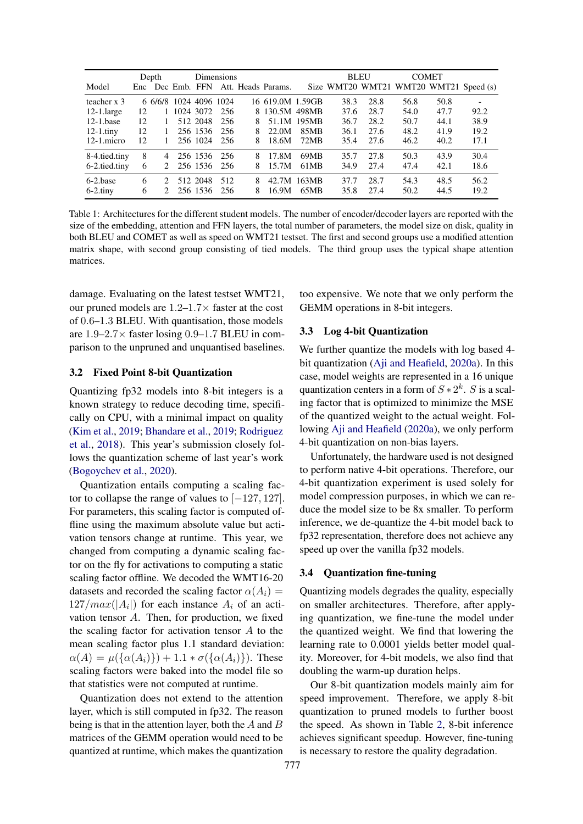<span id="page-2-0"></span>

|               | Depth |                | Dimensions             |              |      |    | <b>BLEU</b>                         |              | <b>COMET</b> |      |      |      |                                        |
|---------------|-------|----------------|------------------------|--------------|------|----|-------------------------------------|--------------|--------------|------|------|------|----------------------------------------|
| Model         |       |                |                        |              |      |    | Enc Dec Emb. FFN Att. Heads Params. |              |              |      |      |      | Size WMT20 WMT21 WMT20 WMT21 Speed (s) |
| teacher x 3   |       |                | 6 6/6/8 1024 4096 1024 |              |      |    | 16 619.0M 1.59GB                    |              | 38.3         | 28.8 | 56.8 | 50.8 |                                        |
| $12-1$ .large | 12    |                | 1 1024 3072 256        |              |      | 8. |                                     | 130.5M 498MB | 37.6         | 28.7 | 54.0 | 47.7 | 92.2                                   |
| $12-1$ base   | 12    |                |                        | 512 2048     | 256  | 8  |                                     | 51.1M 195MB  | 36.7         | 28.2 | 50.7 | 44.1 | 38.9                                   |
| $12-1.$ tiny  | 12    | $\mathbf{1}$   |                        | 256 1536     | -256 | 8  | 22.0M                               | 85MB         | 36.1         | 27.6 | 48.2 | 41.9 | 19.2                                   |
| $12-1$ .micro | 12    | 1.             |                        | 256 1024     | -256 | 8  | 18.6M                               | 72MB         | 35.4         | 27.6 | 46.2 | 40.2 | 17.1                                   |
| 8-4.tied.tiny | 8     | $\overline{4}$ |                        | 256 1536 256 |      | 8  | 17.8M                               | 69MB         | 35.7         | 27.8 | 50.3 | 43.9 | 30.4                                   |
| 6-2.tied.tiny | 6     | $2^{\circ}$    |                        | 256 1536 256 |      | 8  | 15.7M                               | 61MB         | 34.9         | 27.4 | 47.4 | 42.1 | 18.6                                   |
| 6-2 hase      | 6     | $2^{1}$        |                        | 512 2048     | 512  | 8  | 42.7M                               | 163MB        | 37.7         | 28.7 | 54.3 | 48.5 | 56.2                                   |
| $6-2$ .tiny   | 6     | $2^{\circ}$    |                        | 256 1536     | -256 | 8  | 16.9M                               | 65MB         | 35.8         | 27.4 | 50.2 | 44.5 | 19.2                                   |

Table 1: Architectures for the different student models. The number of encoder/decoder layers are reported with the size of the embedding, attention and FFN layers, the total number of parameters, the model size on disk, quality in both BLEU and COMET as well as speed on WMT21 testset. The first and second groups use a modified attention matrix shape, with second group consisting of tied models. The third group uses the typical shape attention matrices.

damage. Evaluating on the latest testset WMT21, our pruned models are  $1.2-1.7\times$  faster at the cost of 0.6–1.3 BLEU. With quantisation, those models are  $1.9-2.7\times$  faster losing 0.9-1.7 BLEU in comparison to the unpruned and unquantised baselines.

#### 3.2 Fixed Point 8-bit Quantization

Quantizing fp32 models into 8-bit integers is a known strategy to reduce decoding time, specifically on CPU, with a minimal impact on quality [\(Kim et al.,](#page-5-2) [2019;](#page-5-2) [Bhandare et al.,](#page-4-2) [2019;](#page-4-2) [Rodriguez](#page-5-12) [et al.,](#page-5-12) [2018\)](#page-5-12). This year's submission closely follows the quantization scheme of last year's work [\(Bogoychev et al.,](#page-5-0) [2020\)](#page-5-0).

Quantization entails computing a scaling factor to collapse the range of values to [−127, 127]. For parameters, this scaling factor is computed offline using the maximum absolute value but activation tensors change at runtime. This year, we changed from computing a dynamic scaling factor on the fly for activations to computing a static scaling factor offline. We decoded the WMT16-20 datasets and recorded the scaling factor  $\alpha(A_i)$  =  $127/max(|A_i|)$  for each instance  $A_i$  of an activation tensor A. Then, for production, we fixed the scaling factor for activation tensor  $A$  to the mean scaling factor plus 1.1 standard deviation:  $\alpha(A) = \mu({\alpha(A_i)}) + 1.1 * \sigma({\alpha(A_i)})$ . These scaling factors were baked into the model file so that statistics were not computed at runtime.

Quantization does not extend to the attention layer, which is still computed in fp32. The reason being is that in the attention layer, both the  $A$  and  $B$ matrices of the GEMM operation would need to be quantized at runtime, which makes the quantization too expensive. We note that we only perform the GEMM operations in 8-bit integers.

#### 3.3 Log 4-bit Quantization

We further quantize the models with log based 4 bit quantization [\(Aji and Heafield,](#page-4-3) [2020a\)](#page-4-3). In this case, model weights are represented in a 16 unique quantization centers in a form of  $S \times 2^k$ . S is a scaling factor that is optimized to minimize the MSE of the quantized weight to the actual weight. Following [Aji and Heafield](#page-4-3) [\(2020a\)](#page-4-3), we only perform 4-bit quantization on non-bias layers.

Unfortunately, the hardware used is not designed to perform native 4-bit operations. Therefore, our 4-bit quantization experiment is used solely for model compression purposes, in which we can reduce the model size to be 8x smaller. To perform inference, we de-quantize the 4-bit model back to fp32 representation, therefore does not achieve any speed up over the vanilla fp32 models.

## 3.4 Quantization fine-tuning

Quantizing models degrades the quality, especially on smaller architectures. Therefore, after applying quantization, we fine-tune the model under the quantized weight. We find that lowering the learning rate to 0.0001 yields better model quality. Moreover, for 4-bit models, we also find that doubling the warm-up duration helps.

Our 8-bit quantization models mainly aim for speed improvement. Therefore, we apply 8-bit quantization to pruned models to further boost the speed. As shown in Table [2,](#page-3-0) 8-bit inference achieves significant speedup. However, fine-tuning is necessary to restore the quality degradation.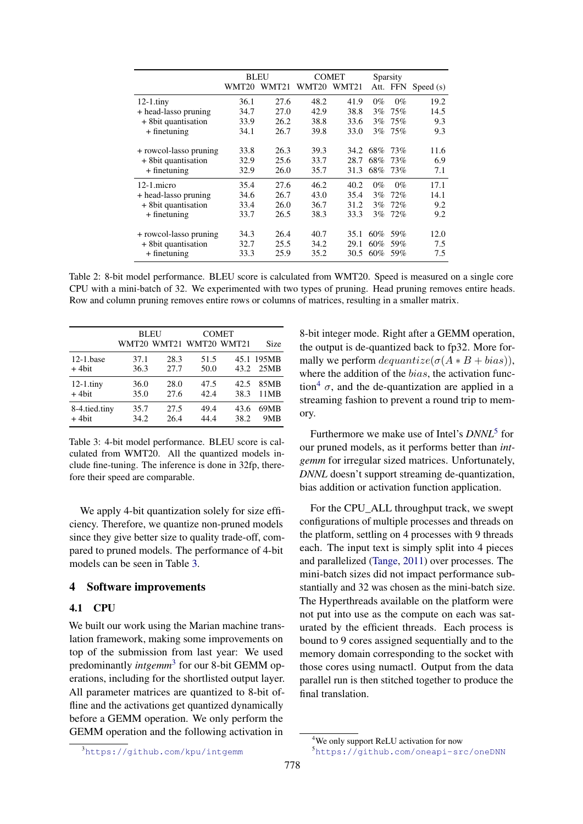<span id="page-3-0"></span>

|                        | <b>BLEU</b> |       | COMET             | Sparsity |       |          |             |
|------------------------|-------------|-------|-------------------|----------|-------|----------|-------------|
|                        | WMT20       | WMT21 | WMT <sub>20</sub> | WMT21    |       | Att. FFN | Speed $(s)$ |
| $12-1$ .tiny           | 36.1        | 27.6  | 48.2              | 41.9     | $0\%$ | $0\%$    | 19.2        |
| + head-lasso pruning   | 34.7        | 27.0  | 42.9              | 38.8     | 3%    | 75%      | 14.5        |
| + 8 bit quantisation   | 33.9        | 26.2  | 38.8              | 33.6     | $3\%$ | 75%      | 9.3         |
| $+$ finetuning         | 34.1        | 26.7  | 39.8              | 33.0     | $3\%$ | 75%      | 9.3         |
|                        |             |       |                   |          |       |          |             |
| + rowcol-lasso pruning | 33.8        | 26.3  | 39.3              | 34.2     | 68%   | 73%      | 11.6        |
| + 8 bit quantisation   | 32.9        | 25.6  | 33.7              | 28.7     | 68%   | 73%      | 6.9         |
| $+$ finetuning         | 32.9        | 26.0  | 35.7              | 31.3     | 68%   | 73%      | 7.1         |
| $12-1$ micro           | 35.4        | 27.6  | 46.2              | 40.2     | $0\%$ | $0\%$    | 17.1        |
| + head-lasso pruning   | 34.6        | 26.7  | 43.0              | 35.4     | 3%    | 72%      | 14.1        |
| + 8 bit quantisation   | 33.4        | 26.0  | 36.7              | 31.2     | $3\%$ | 72%      | 9.2         |
| $+$ finetuning         | 33.7        | 26.5  | 38.3              | 33.3     | $3\%$ | 72%      | 9.2         |
|                        |             |       |                   |          |       |          |             |
| + rowcol-lasso pruning | 34.3        | 26.4  | 40.7              | 35.1     | 60%   | 59%      | 12.0        |
| + 8bit quantisation    | 32.7        | 25.5  | 34.2              | 29.1     | 60%   | 59%      | 7.5         |
| $+$ finetuning         | 33.3        | 25.9  | 35.2              | 30.5     | 60%   | 59%      | 7.5         |

Table 2: 8-bit model performance. BLEU score is calculated from WMT20. Speed is measured on a single core CPU with a mini-batch of 32. We experimented with two types of pruning. Head pruning removes entire heads. Row and column pruning removes entire rows or columns of matrices, resulting in a smaller matrix.

<span id="page-3-1"></span>

|               |      | <b>BLEU</b> | <b>COMET</b>            |      |            |
|---------------|------|-------------|-------------------------|------|------------|
|               |      |             | WMT20 WMT21 WMT20 WMT21 |      | Size       |
| $12-1$ .base  | 37.1 | 28.3        | 51.5                    | 43.2 | 45.1 195MB |
| $+4$ bit      | 36.3 | 27.7        | 50.0                    |      | 25MB       |
| $12-1.$ tiny  | 36.0 | 28.0        | 47.5                    | 42.5 | 85MB       |
| $+4$ bit      | 35.0 | 27.6        | 42.4                    | 38.3 | 11MB       |
| 8-4.tied.tiny | 35.7 | 27.5        | 49.4                    | 43.6 | 69MB       |
| $+4$ hit      | 34.2 | 26.4        | 44.4                    | 38.2 | 9MB        |

Table 3: 4-bit model performance. BLEU score is calculated from WMT20. All the quantized models include fine-tuning. The inference is done in 32fp, therefore their speed are comparable.

We apply 4-bit quantization solely for size efficiency. Therefore, we quantize non-pruned models since they give better size to quality trade-off, compared to pruned models. The performance of 4-bit models can be seen in Table [3.](#page-3-1)

#### 4 Software improvements

## 4.1 CPU

We built our work using the Marian machine translation framework, making some improvements on top of the submission from last year: We used predominantly *intgemm*[3](#page-3-2) for our 8-bit GEMM operations, including for the shortlisted output layer. All parameter matrices are quantized to 8-bit offline and the activations get quantized dynamically before a GEMM operation. We only perform the GEMM operation and the following activation in

8-bit integer mode. Right after a GEMM operation, the output is de-quantized back to fp32. More formally we perform  $dequantize(\sigma(A * B + bias)),$ where the addition of the *bias*, the activation func-tion<sup>[4](#page-3-3)</sup>  $\sigma$ , and the de-quantization are applied in a streaming fashion to prevent a round trip to memory.

Furthermore we make use of Intel's *DNNL*[5](#page-3-4) for our pruned models, as it performs better than *intgemm* for irregular sized matrices. Unfortunately, *DNNL* doesn't support streaming de-quantization, bias addition or activation function application.

For the CPU\_ALL throughput track, we swept configurations of multiple processes and threads on the platform, settling on 4 processes with 9 threads each. The input text is simply split into 4 pieces and parallelized [\(Tange,](#page-5-13) [2011\)](#page-5-13) over processes. The mini-batch sizes did not impact performance substantially and 32 was chosen as the mini-batch size. The Hyperthreads available on the platform were not put into use as the compute on each was saturated by the efficient threads. Each process is bound to 9 cores assigned sequentially and to the memory domain corresponding to the socket with those cores using numactl. Output from the data parallel run is then stitched together to produce the final translation.

<span id="page-3-2"></span><sup>3</sup><https://github.com/kpu/intgemm>

<span id="page-3-3"></span><sup>4</sup>We only support ReLU activation for now

<span id="page-3-4"></span><sup>5</sup><https://github.com/oneapi-src/oneDNN>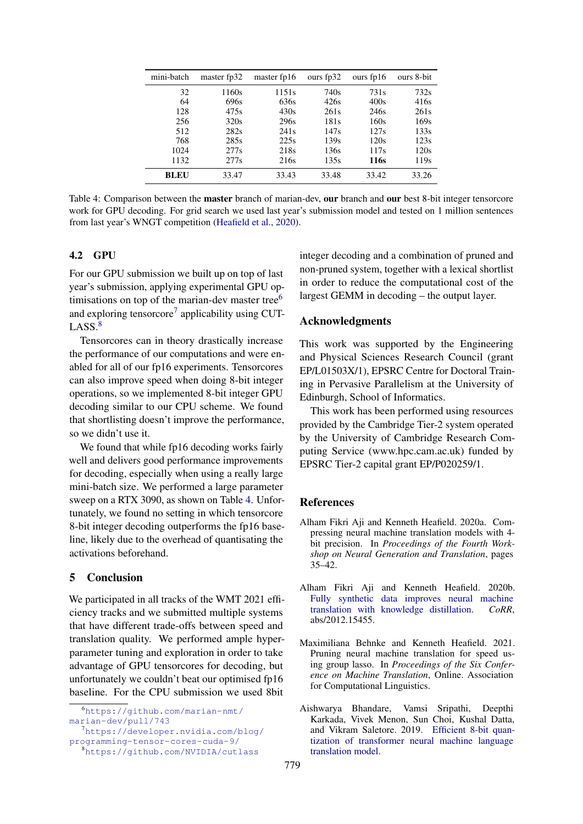<span id="page-4-7"></span>

| mini-batch  | master fp32 | master fp16 | ours fp32 | ours $fp16$      | ours 8-bit       |
|-------------|-------------|-------------|-----------|------------------|------------------|
| 32          | 1160s       | 1151s       | 740s      | 731 <sub>s</sub> | 732s             |
| 64          | 696s        | 636s        | 426s      | 400s             | 416s             |
| 128         | 475s        | 430s        | 261s      | 246s             | 261s             |
| 256         | 320s        | 296s        | 181s      | 160s             | 169s             |
| 512         | 282s        | 241s        | 147s      | 127s             | 133s             |
| 768         | 285s        | 225s        | 139s      | 120s             | 123s             |
| 1024        | 277s        | 218s        | 136s      | 117s             | 120s             |
| 1132        | 277s        | 216s        | 135s      | 116s             | 119 <sub>s</sub> |
| <b>BLEU</b> | 33.47       | 33.43       | 33.48     | 33.42            | 33.26            |

Table 4: Comparison between the master branch of marian-dev, our branch and our best 8-bit integer tensorcore work for GPU decoding. For grid search we used last year's submission model and tested on 1 million sentences from last year's WNGT competition [\(Heafield et al.,](#page-5-14) [2020\)](#page-5-14).

## 4.2 GPU

For our GPU submission we built up on top of last year's submission, applying experimental GPU optimisations on top of the marian-dev master tree $<sup>6</sup>$  $<sup>6</sup>$  $<sup>6</sup>$ </sup> and exploring tensorcore<sup>[7](#page-4-5)</sup> applicability using CUT- $LASS.<sup>8</sup>$  $LASS.<sup>8</sup>$  $LASS.<sup>8</sup>$ 

Tensorcores can in theory drastically increase the performance of our computations and were enabled for all of our fp16 experiments. Tensorcores can also improve speed when doing 8-bit integer operations, so we implemented 8-bit integer GPU decoding similar to our CPU scheme. We found that shortlisting doesn't improve the performance, so we didn't use it.

We found that while fp16 decoding works fairly well and delivers good performance improvements for decoding, especially when using a really large mini-batch size. We performed a large parameter sweep on a RTX 3090, as shown on Table [4.](#page-4-7) Unfortunately, we found no setting in which tensorcore 8-bit integer decoding outperforms the fp16 baseline, likely due to the overhead of quantisating the activations beforehand.

## 5 Conclusion

We participated in all tracks of the WMT 2021 efficiency tracks and we submitted multiple systems that have different trade-offs between speed and translation quality. We performed ample hyperparameter tuning and exploration in order to take advantage of GPU tensorcores for decoding, but unfortunately we couldn't beat our optimised fp16 baseline. For the CPU submission we used 8bit

integer decoding and a combination of pruned and non-pruned system, together with a lexical shortlist in order to reduce the computational cost of the largest GEMM in decoding – the output layer.

## Acknowledgments

This work was supported by the Engineering and Physical Sciences Research Council (grant EP/L01503X/1), EPSRC Centre for Doctoral Training in Pervasive Parallelism at the University of Edinburgh, School of Informatics.

This work has been performed using resources provided by the Cambridge Tier-2 system operated by the University of Cambridge Research Computing Service (www.hpc.cam.ac.uk) funded by EPSRC Tier-2 capital grant EP/P020259/1.

#### References

- <span id="page-4-3"></span>Alham Fikri Aji and Kenneth Heafield. 2020a. Compressing neural machine translation models with 4 bit precision. In *Proceedings of the Fourth Workshop on Neural Generation and Translation*, pages 35–42.
- <span id="page-4-0"></span>Alham Fikri Aji and Kenneth Heafield. 2020b. [Fully synthetic data improves neural machine](http://arxiv.org/abs/2012.15455) [translation with knowledge distillation.](http://arxiv.org/abs/2012.15455) *CoRR*, abs/2012.15455.
- <span id="page-4-1"></span>Maximiliana Behnke and Kenneth Heafield. 2021. Pruning neural machine translation for speed using group lasso. In *Proceedings of the Six Conference on Machine Translation*, Online. Association for Computational Linguistics.
- <span id="page-4-2"></span>Aishwarya Bhandare, Vamsi Sripathi, Deepthi Karkada, Vivek Menon, Sun Choi, Kushal Datta, and Vikram Saletore. 2019. [Efficient 8-bit quan](http://arxiv.org/abs/1906.00532)[tization of transformer neural machine language](http://arxiv.org/abs/1906.00532) [translation model.](http://arxiv.org/abs/1906.00532)

<span id="page-4-4"></span><sup>6</sup>[https://github.com/marian-nmt/](https://github.com/marian-nmt/marian-dev/pull/743) [marian-dev/pull/743](https://github.com/marian-nmt/marian-dev/pull/743)

<span id="page-4-5"></span><sup>7</sup>[https://developer.nvidia.com/blog/](https://developer.nvidia.com/blog/programming-tensor-cores-cuda-9/) [programming-tensor-cores-cuda-9/](https://developer.nvidia.com/blog/programming-tensor-cores-cuda-9/)

<span id="page-4-6"></span><sup>8</sup><https://github.com/NVIDIA/cutlass>